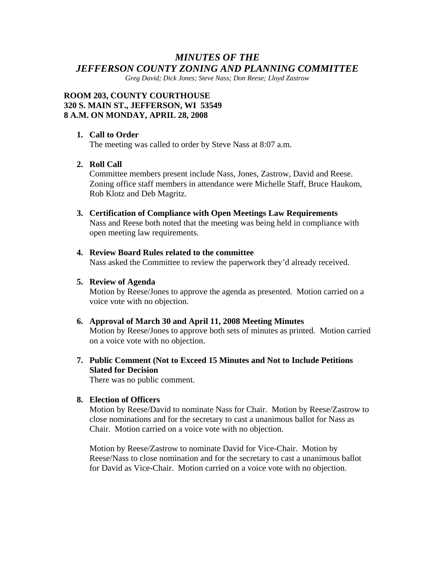# *MINUTES OF THE JEFFERSON COUNTY ZONING AND PLANNING COMMITTEE*

*Greg David; Dick Jones; Steve Nass; Don Reese; Lloyd Zastrow* 

### **ROOM 203, COUNTY COURTHOUSE 320 S. MAIN ST., JEFFERSON, WI 53549 8 A.M. ON MONDAY, APRIL 28, 2008**

### **1. Call to Order**

The meeting was called to order by Steve Nass at 8:07 a.m.

### **2. Roll Call**

Committee members present include Nass, Jones, Zastrow, David and Reese. Zoning office staff members in attendance were Michelle Staff, Bruce Haukom, Rob Klotz and Deb Magritz.

#### **3. Certification of Compliance with Open Meetings Law Requirements**

Nass and Reese both noted that the meeting was being held in compliance with open meeting law requirements.

#### **4. Review Board Rules related to the committee**

Nass asked the Committee to review the paperwork they'd already received.

### **5. Review of Agenda**

Motion by Reese/Jones to approve the agenda as presented. Motion carried on a voice vote with no objection.

#### **6. Approval of March 30 and April 11, 2008 Meeting Minutes**

Motion by Reese/Jones to approve both sets of minutes as printed. Motion carried on a voice vote with no objection.

# **7. Public Comment (Not to Exceed 15 Minutes and Not to Include Petitions Slated for Decision**

There was no public comment.

#### **8. Election of Officers**

Motion by Reese/David to nominate Nass for Chair. Motion by Reese/Zastrow to close nominations and for the secretary to cast a unanimous ballot for Nass as Chair. Motion carried on a voice vote with no objection.

Motion by Reese/Zastrow to nominate David for Vice-Chair. Motion by Reese/Nass to close nomination and for the secretary to cast a unanimous ballot for David as Vice-Chair. Motion carried on a voice vote with no objection.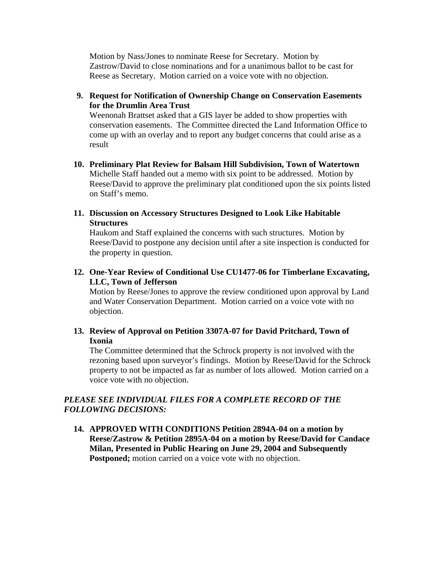Motion by Nass/Jones to nominate Reese for Secretary. Motion by Zastrow/David to close nominations and for a unanimous ballot to be cast for Reese as Secretary. Motion carried on a voice vote with no objection.

# **9. Request for Notification of Ownership Change on Conservation Easements for the Drumlin Area Trust**

Weenonah Brattset asked that a GIS layer be added to show properties with conservation easements. The Committee directed the Land Information Office to come up with an overlay and to report any budget concerns that could arise as a result

- **10. Preliminary Plat Review for Balsam Hill Subdivision, Town of Watertown**  Michelle Staff handed out a memo with six point to be addressed. Motion by Reese/David to approve the preliminary plat conditioned upon the six points listed on Staff's memo.
- **11. Discussion on Accessory Structures Designed to Look Like Habitable Structures**

Haukom and Staff explained the concerns with such structures. Motion by Reese/David to postpone any decision until after a site inspection is conducted for the property in question.

**12. One-Year Review of Conditional Use CU1477-06 for Timberlane Excavating, LLC, Town of Jefferson** 

Motion by Reese/Jones to approve the review conditioned upon approval by Land and Water Conservation Department. Motion carried on a voice vote with no objection.

# **13. Review of Approval on Petition 3307A-07 for David Pritchard, Town of Ixonia**

The Committee determined that the Schrock property is not involved with the rezoning based upon surveyor's findings. Motion by Reese/David for the Schrock property to not be impacted as far as number of lots allowed. Motion carried on a voice vote with no objection.

# *PLEASE SEE INDIVIDUAL FILES FOR A COMPLETE RECORD OF THE FOLLOWING DECISIONS:*

**14. APPROVED WITH CONDITIONS Petition 2894A-04 on a motion by Reese/Zastrow & Petition 2895A-04 on a motion by Reese/David for Candace Milan, Presented in Public Hearing on June 29, 2004 and Subsequently Postponed;** motion carried on a voice vote with no objection.